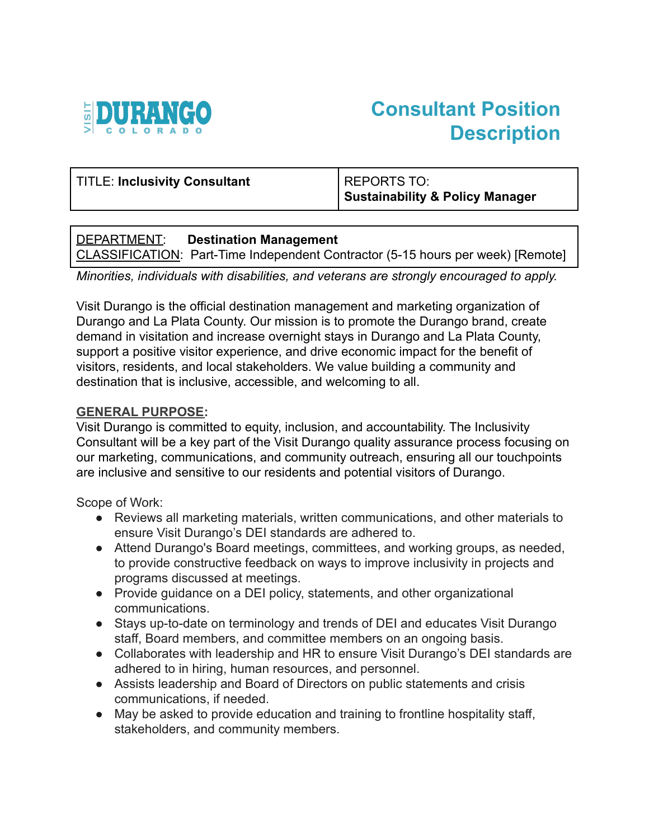

# **Consultant Position Description**

# TITLE: **Inclusivity Consultant** REPORTS TO:

# **Sustainability & Policy Manager**

# DEPARTMENT: **Destination Management**

CLASSIFICATION: Part-Time Independent Contractor (5-15 hours per week) [Remote]

*Minorities, individuals with disabilities, and veterans are strongly encouraged to apply.*

Visit Durango is the official destination management and marketing organization of Durango and La Plata County. Our mission is to promote the Durango brand, create demand in visitation and increase overnight stays in Durango and La Plata County, support a positive visitor experience, and drive economic impact for the benefit of visitors, residents, and local stakeholders. We value building a community and destination that is inclusive, accessible, and welcoming to all.

### **GENERAL PURPOSE:**

Visit Durango is committed to equity, inclusion, and accountability. The Inclusivity Consultant will be a key part of the Visit Durango quality assurance process focusing on our marketing, communications, and community outreach, ensuring all our touchpoints are inclusive and sensitive to our residents and potential visitors of Durango.

Scope of Work:

- Reviews all marketing materials, written communications, and other materials to ensure Visit Durango's DEI standards are adhered to.
- Attend Durango's Board meetings, committees, and working groups, as needed, to provide constructive feedback on ways to improve inclusivity in projects and programs discussed at meetings.
- Provide guidance on a DEI policy, statements, and other organizational communications.
- Stays up-to-date on terminology and trends of DEI and educates Visit Durango staff, Board members, and committee members on an ongoing basis.
- Collaborates with leadership and HR to ensure Visit Durango's DEI standards are adhered to in hiring, human resources, and personnel.
- Assists leadership and Board of Directors on public statements and crisis communications, if needed.
- May be asked to provide education and training to frontline hospitality staff, stakeholders, and community members.